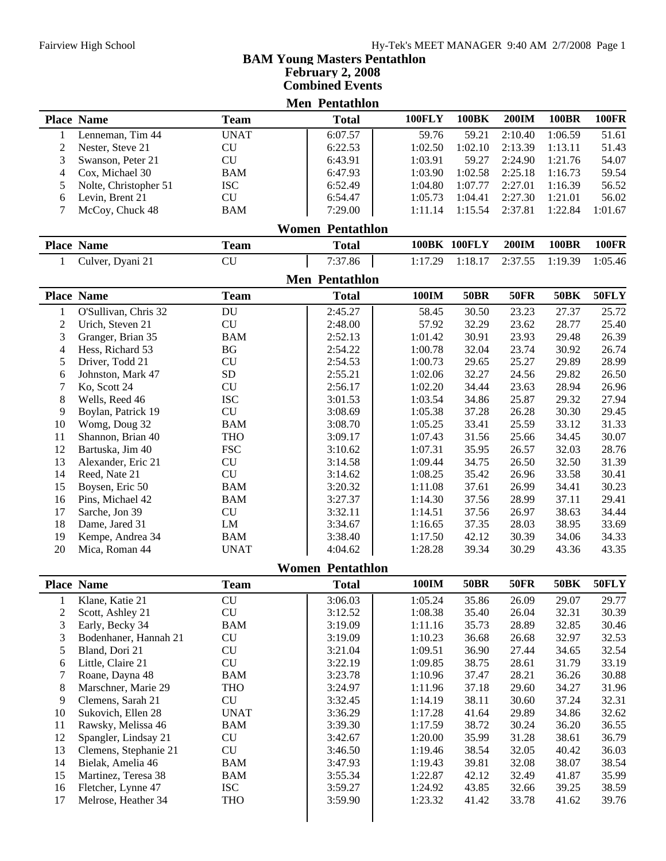| February 2, 2008                                |                                      |                            |  |                         |  |               |                  |              |              |                |  |
|-------------------------------------------------|--------------------------------------|----------------------------|--|-------------------------|--|---------------|------------------|--------------|--------------|----------------|--|
| <b>Combined Events</b><br><b>Men Pentathlon</b> |                                      |                            |  |                         |  |               |                  |              |              |                |  |
|                                                 |                                      |                            |  |                         |  | <b>100FLY</b> | <b>100BK</b>     | 200IM        | <b>100BR</b> | <b>100FR</b>   |  |
|                                                 | <b>Place Name</b>                    | <b>Team</b><br><b>UNAT</b> |  | <b>Total</b>            |  | 59.76         |                  | 2:10.40      | 1:06.59      |                |  |
| 1<br>$\overline{c}$                             | Lenneman, Tim 44<br>Nester, Steve 21 | <b>CU</b>                  |  | 6:07.57<br>6:22.53      |  | 1:02.50       | 59.21<br>1:02.10 | 2:13.39      | 1:13.11      | 51.61<br>51.43 |  |
| 3                                               | Swanson, Peter 21                    | CU                         |  | 6:43.91                 |  | 1:03.91       | 59.27            | 2:24.90      | 1:21.76      | 54.07          |  |
| 4                                               | Cox, Michael 30                      | <b>BAM</b>                 |  | 6:47.93                 |  | 1:03.90       | 1:02.58          | 2:25.18      | 1:16.73      | 59.54          |  |
| 5                                               | Nolte, Christopher 51                | <b>ISC</b>                 |  | 6:52.49                 |  | 1:04.80       | 1:07.77          | 2:27.01      | 1:16.39      | 56.52          |  |
| 6                                               | Levin, Brent 21                      | CU                         |  | 6:54.47                 |  | 1:05.73       | 1:04.41          | 2:27.30      | 1:21.01      | 56.02          |  |
| 7                                               | McCoy, Chuck 48                      | <b>BAM</b>                 |  | 7:29.00                 |  | 1:11.14       | 1:15.54          | 2:37.81      | 1:22.84      | 1:01.67        |  |
|                                                 |                                      |                            |  | <b>Women Pentathlon</b> |  |               |                  |              |              |                |  |
|                                                 | <b>Place Name</b>                    | <b>Team</b>                |  | <b>Total</b>            |  |               | 100BK 100FLY     | <b>200IM</b> | <b>100BR</b> | <b>100FR</b>   |  |
| 1                                               | Culver, Dyani 21                     | <b>CU</b>                  |  | 7:37.86                 |  | 1:17.29       | 1:18.17          | 2:37.55      | 1:19.39      | 1:05.46        |  |
|                                                 |                                      |                            |  | <b>Men Pentathlon</b>   |  |               |                  |              |              |                |  |
|                                                 | <b>Place Name</b>                    | <b>Team</b>                |  | <b>Total</b>            |  | 100IM         | <b>50BR</b>      | <b>50FR</b>  | <b>50BK</b>  | 50FLY          |  |
| $\mathbf{1}$                                    | O'Sullivan, Chris 32                 | $\operatorname{DU}$        |  | 2:45.27                 |  | 58.45         | 30.50            | 23.23        | 27.37        | 25.72          |  |
| $\mathfrak{2}$                                  | Urich, Steven 21                     | <b>CU</b>                  |  | 2:48.00                 |  | 57.92         | 32.29            | 23.62        | 28.77        | 25.40          |  |
| 3                                               | Granger, Brian 35                    | <b>BAM</b>                 |  | 2:52.13                 |  | 1:01.42       | 30.91            | 23.93        | 29.48        | 26.39          |  |
| 4                                               | Hess, Richard 53                     | <b>BG</b>                  |  | 2:54.22                 |  | 1:00.78       | 32.04            | 23.74        | 30.92        | 26.74          |  |
| 5                                               | Driver, Todd 21                      | CU                         |  | 2:54.53                 |  | 1:00.73       | 29.65            | 25.27        | 29.89        | 28.99          |  |
| 6                                               | Johnston, Mark 47                    | ${\rm SD}$                 |  | 2:55.21                 |  | 1:02.06       | 32.27            | 24.56        | 29.82        | 26.50          |  |
| 7                                               | Ko, Scott 24                         | CU                         |  | 2:56.17                 |  | 1:02.20       | 34.44            | 23.63        | 28.94        | 26.96          |  |
| 8                                               | Wells, Reed 46                       | <b>ISC</b>                 |  | 3:01.53                 |  | 1:03.54       | 34.86            | 25.87        | 29.32        | 27.94          |  |
| 9                                               | Boylan, Patrick 19                   | ${\rm CU}$                 |  | 3:08.69                 |  | 1:05.38       | 37.28            | 26.28        | 30.30        | 29.45          |  |
| 10                                              | Womg, Doug 32                        | <b>BAM</b>                 |  | 3:08.70                 |  | 1:05.25       | 33.41            | 25.59        | 33.12        | 31.33          |  |
| 11                                              | Shannon, Brian 40                    | <b>THO</b>                 |  | 3:09.17                 |  | 1:07.43       | 31.56            | 25.66        | 34.45        | 30.07          |  |
| 12                                              | Bartuska, Jim 40                     | <b>FSC</b>                 |  | 3:10.62                 |  | 1:07.31       | 35.95            | 26.57        | 32.03        | 28.76          |  |
| 13                                              | Alexander, Eric 21                   | CU                         |  | 3:14.58                 |  | 1:09.44       | 34.75            | 26.50        | 32.50        | 31.39          |  |
| 14                                              | Reed, Nate 21                        | CU                         |  | 3:14.62                 |  | 1:08.25       | 35.42            | 26.96        | 33.58        | 30.41          |  |
| 15                                              | Boysen, Eric 50                      | <b>BAM</b>                 |  | 3:20.32                 |  | 1:11.08       | 37.61            | 26.99        | 34.41        | 30.23          |  |
| 16                                              | Pins, Michael 42                     | <b>BAM</b>                 |  | 3:27.37                 |  | 1:14.30       | 37.56            | 28.99        | 37.11        | 29.41          |  |
| 17                                              | Sarche, Jon 39                       | <b>CU</b>                  |  | 3:32.11                 |  | 1:14.51       | 37.56            | 26.97        | 38.63        | 34.44          |  |
| 18                                              | Dame, Jared 31                       | ${\rm LM}$                 |  | 3:34.67                 |  | 1:16.65       | 37.35            | 28.03        | 38.95        | 33.69          |  |
| 19                                              | Kempe, Andrea 34                     | <b>BAM</b>                 |  | 3:38.40                 |  | 1:17.50       | 42.12            | 30.39        | 34.06        | 34.33          |  |
| 20                                              | Mica, Roman 44                       | <b>UNAT</b>                |  | 4:04.62                 |  | 1:28.28       | 39.34            | 30.29        | 43.36        | 43.35          |  |
|                                                 |                                      |                            |  | <b>Women Pentathlon</b> |  |               |                  |              |              |                |  |
|                                                 | <b>Place Name</b>                    | <b>Team</b>                |  | <b>Total</b>            |  | <b>100IM</b>  | <b>50BR</b>      | <b>50FR</b>  | <b>50BK</b>  | 50FLY          |  |
| 1                                               | Klane, Katie 21                      | CU                         |  | 3:06.03                 |  | 1:05.24       | 35.86            | 26.09        | 29.07        | 29.77          |  |
| $\mathbf{2}$                                    | Scott, Ashley 21                     | CU                         |  | 3:12.52                 |  | 1:08.38       | 35.40            | 26.04        | 32.31        | 30.39          |  |
| 3                                               | Early, Becky 34                      | <b>BAM</b>                 |  | 3:19.09                 |  | 1:11.16       | 35.73            | 28.89        | 32.85        | 30.46          |  |
| 3                                               | Bodenhaner, Hannah 21                | CU                         |  | 3:19.09                 |  | 1:10.23       | 36.68            | 26.68        | 32.97        | 32.53          |  |
| 5                                               | Bland, Dori 21                       | CU                         |  | 3:21.04                 |  | 1:09.51       | 36.90            | 27.44        | 34.65        | 32.54          |  |
| 6                                               | Little, Claire 21                    | CU                         |  | 3:22.19                 |  | 1:09.85       | 38.75            | 28.61        | 31.79        | 33.19          |  |
| 7                                               | Roane, Dayna 48                      | <b>BAM</b>                 |  | 3:23.78                 |  | 1:10.96       | 37.47            | 28.21        | 36.26        | 30.88          |  |
| 8                                               | Marschner, Marie 29                  | <b>THO</b>                 |  | 3:24.97                 |  | 1:11.96       | 37.18            | 29.60        | 34.27        | 31.96          |  |
| 9                                               | Clemens, Sarah 21                    | ${\rm CU}$                 |  | 3:32.45                 |  | 1:14.19       | 38.11            | 30.60        | 37.24        | 32.31          |  |
| 10                                              | Sukovich, Ellen 28                   | <b>UNAT</b>                |  | 3:36.29                 |  | 1:17.28       | 41.64            | 29.89        | 34.86        | 32.62          |  |
| 11                                              | Rawsky, Melissa 46                   | <b>BAM</b>                 |  | 3:39.30                 |  | 1:17.59       | 38.72            | 30.24        | 36.20        | 36.55          |  |
| 12                                              | Spangler, Lindsay 21                 | CU                         |  | 3:42.67                 |  | 1:20.00       | 35.99            | 31.28        | 38.61        | 36.79          |  |
| 13                                              | Clemens, Stephanie 21                | CU                         |  | 3:46.50                 |  | 1:19.46       | 38.54            | 32.05        | 40.42        | 36.03          |  |
| 14                                              | Bielak, Amelia 46                    | <b>BAM</b>                 |  | 3:47.93                 |  | 1:19.43       | 39.81            | 32.08        | 38.07        | 38.54          |  |
| 15                                              | Martinez, Teresa 38                  | <b>BAM</b>                 |  | 3:55.34                 |  | 1:22.87       | 42.12            | 32.49        | 41.87        | 35.99          |  |
| 16                                              | Fletcher, Lynne 47                   | <b>ISC</b>                 |  | 3:59.27                 |  | 1:24.92       | 43.85            | 32.66        | 39.25        | 38.59          |  |
| 17                                              | Melrose, Heather 34                  | <b>THO</b>                 |  | 3:59.90                 |  | 1:23.32       | 41.42            | 33.78        | 41.62        | 39.76          |  |
|                                                 |                                      |                            |  |                         |  |               |                  |              |              |                |  |

 **BAM Young Masters Pentathlon**